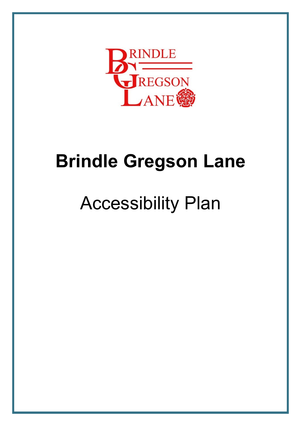

## **Brindle Gregson Lane**

# Accessibility Plan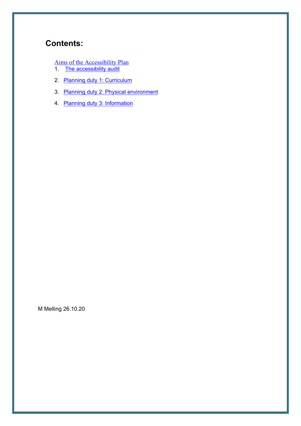### **Contents:**

- Aims of the Accessibility Plan
- 1. The accessibility audit
- 2. Planning duty 1: Curriculum
- 3. Planning duty 2: Physical environment
- 4. Planning duty 3: Information

M Melling 26.10.20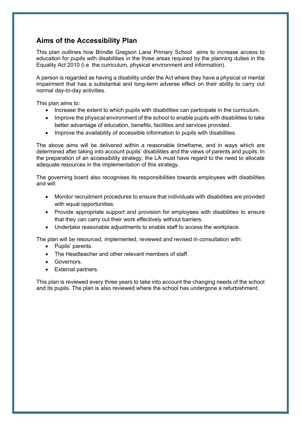#### **Aims of the Accessibility Plan**

This plan outlines how Brindle Gregson Lane Primary School aims to increase access to education for pupils with disabilities in the three areas required by the planning duties in the Equality Act 2010 (i.e. the curriculum, physical environment and information).

A person is regarded as having a disability under the Act where they have a physical or mental impairment that has a substantial and long-term adverse effect on their ability to carry out normal day-to-day activities.

This plan aims to:

- Increase the extent to which pupils with disabilities can participate in the curriculum.
- Improve the physical environment of the school to enable pupils with disabilities to take better advantage of education, benefits, facilities and services provided.
- Improve the availability of accessible information to pupils with disabilities.

The above aims will be delivered within a reasonable timeframe, and in ways which are determined after taking into account pupils' disabilities and the views of parents and pupils. In the preparation of an accessibility strategy, the LA must have regard to the need to allocate adequate resources in the implementation of this strategy.

The governing board also recognises its responsibilities towards employees with disabilities and will:

- Monitor recruitment procedures to ensure that individuals with disabilities are provided with equal opportunities.
- Provide appropriate support and provision for employees with disabilities to ensure that they can carry out their work effectively without barriers.
- Undertake reasonable adjustments to enable staff to access the workplace.

The plan will be resourced, implemented, reviewed and revised in consultation with:

- Pupils' parents.
- The Headteacher and other relevant members of staff.
- Governors.
- External partners.

This plan is reviewed every three years to take into account the changing needs of the school and its pupils. The plan is also reviewed where the school has undergone a refurbishment.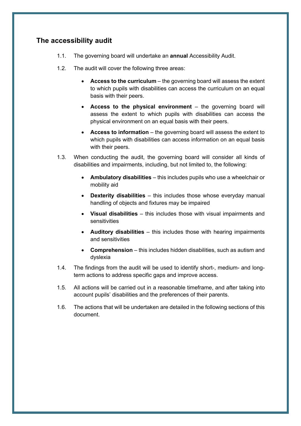#### **The accessibility audit**

- 1.1. The governing board will undertake an **annual** Accessibility Audit.
- 1.2. The audit will cover the following three areas:
	- **Access to the curriculum**  the governing board will assess the extent to which pupils with disabilities can access the curriculum on an equal basis with their peers.
	- **Access to the physical environment**  the governing board will assess the extent to which pupils with disabilities can access the physical environment on an equal basis with their peers.
	- Access to information the governing board will assess the extent to which pupils with disabilities can access information on an equal basis with their peers.
- 1.3. When conducting the audit, the governing board will consider all kinds of disabilities and impairments, including, but not limited to, the following:
	- **Ambulatory disabilities**  this includes pupils who use a wheelchair or mobility aid
	- **Dexterity disabilities**  this includes those whose everyday manual handling of objects and fixtures may be impaired
	- **Visual disabilities**  this includes those with visual impairments and sensitivities
	- **Auditory disabilities**  this includes those with hearing impairments and sensitivities
	- **Comprehension**  this includes hidden disabilities, such as autism and dyslexia
- 1.4. The findings from the audit will be used to identify short-, medium- and longterm actions to address specific gaps and improve access.
- 1.5. All actions will be carried out in a reasonable timeframe, and after taking into account pupils' disabilities and the preferences of their parents.
- 1.6. The actions that will be undertaken are detailed in the following sections of this document.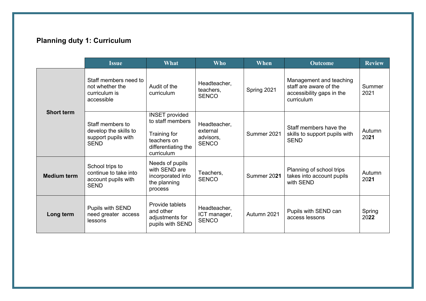## **Planning duty 1: Curriculum**

|                    | <b>Issue</b>                                                                    | What                                                                                                          | <b>Who</b>                                            | When        | <b>Outcome</b>                                                                               | <b>Review</b>  |
|--------------------|---------------------------------------------------------------------------------|---------------------------------------------------------------------------------------------------------------|-------------------------------------------------------|-------------|----------------------------------------------------------------------------------------------|----------------|
| <b>Short term</b>  | Staff members need to<br>not whether the<br>curriculum is<br>accessible         | Audit of the<br>curriculum                                                                                    | Headteacher,<br>teachers,<br><b>SENCO</b>             | Spring 2021 | Management and teaching<br>staff are aware of the<br>accessibility gaps in the<br>curriculum | Summer<br>2021 |
|                    | Staff members to<br>develop the skills to<br>support pupils with<br><b>SEND</b> | <b>INSET provided</b><br>to staff members<br>Training for<br>teachers on<br>differentiating the<br>curriculum | Headteacher,<br>external<br>advisors.<br><b>SENCO</b> | Summer 2021 | Staff members have the<br>skills to support pupils with<br><b>SEND</b>                       | Autumn<br>2021 |
| <b>Medium term</b> | School trips to<br>continue to take into<br>account pupils with<br><b>SEND</b>  | Needs of pupils<br>with SEND are<br>incorporated into<br>the planning<br>process                              | Teachers,<br><b>SENCO</b>                             | Summer 2021 | Planning of school trips<br>takes into account pupils<br>with SEND                           | Autumn<br>2021 |
| Long term          | Pupils with SEND<br>need greater access<br>lessons                              | Provide tablets<br>and other<br>adjustments for<br>pupils with SEND                                           | Headteacher,<br>ICT manager,<br><b>SENCO</b>          | Autumn 2021 | Pupils with SEND can<br>access lessons                                                       | Spring<br>2022 |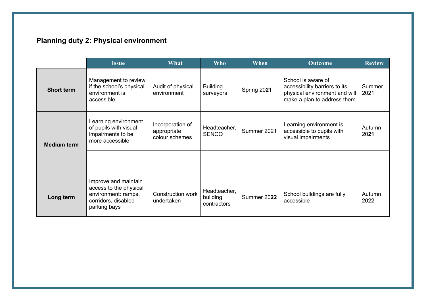## **Planning duty 2: Physical environment**

|                    | <b>Issue</b>                                                                                                 | What                                              | <b>Who</b>                              | When        | <b>Outcome</b>                                                                                                      | <b>Review</b>  |
|--------------------|--------------------------------------------------------------------------------------------------------------|---------------------------------------------------|-----------------------------------------|-------------|---------------------------------------------------------------------------------------------------------------------|----------------|
| <b>Short term</b>  | Management to review<br>if the school's physical<br>environment is<br>accessible                             | Audit of physical<br>environment                  | <b>Building</b><br>surveyors            | Spring 2021 | School is aware of<br>accessibility barriers to its<br>physical environment and will<br>make a plan to address them | Summer<br>2021 |
| <b>Medium term</b> | Learning environment<br>of pupils with visual<br>impairments to be<br>more accessible                        | Incorporation of<br>appropriate<br>colour schemes | Headteacher,<br><b>SENCO</b>            | Summer 2021 | Learning environment is<br>accessible to pupils with<br>visual impairments                                          | Autumn<br>2021 |
|                    |                                                                                                              |                                                   |                                         |             |                                                                                                                     |                |
| Long term          | Improve and maintain<br>access to the physical<br>environment: ramps,<br>corridors, disabled<br>parking bays | <b>Construction work</b><br>undertaken            | Headteacher,<br>building<br>contractors | Summer 2022 | School buildings are fully<br>accessible                                                                            | Autumn<br>2022 |